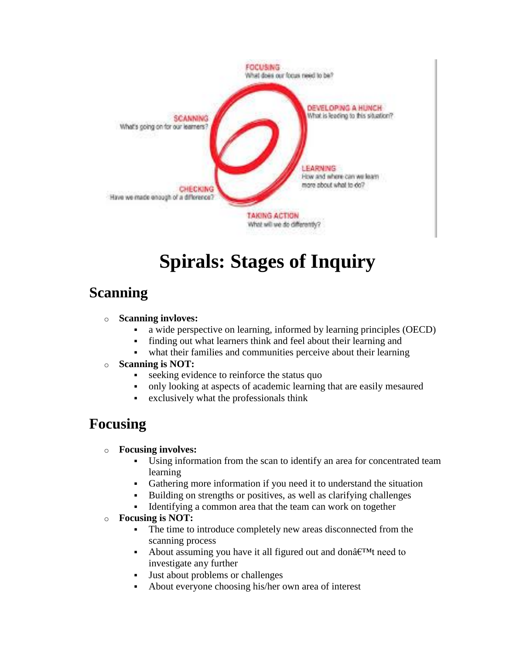

# **Spirals: Stages of Inquiry**

### **Scanning**

#### o **Scanning invloves:**

- a wide perspective on learning, informed by learning principles (OECD)
- finding out what learners think and feel about their learning and
- what their families and communities perceive about their learning
- o **Scanning is NOT:**
	- seeking evidence to reinforce the status quo
	- only looking at aspects of academic learning that are easily mesaured
	- exclusively what the professionals think

### **Focusing**

#### o **Focusing involves:**

- Using information from the scan to identify an area for concentrated team learning
- Gathering more information if you need it to understand the situation
- Building on strengths or positives, as well as clarifying challenges
- Identifying a common area that the team can work on together

#### o **Focusing is NOT:**

- The time to introduce completely new areas disconnected from the scanning process
- About assuming you have it all figured out and don $\hat{a} \in T^M$ t need to investigate any further
- Just about problems or challenges
- About everyone choosing his/her own area of interest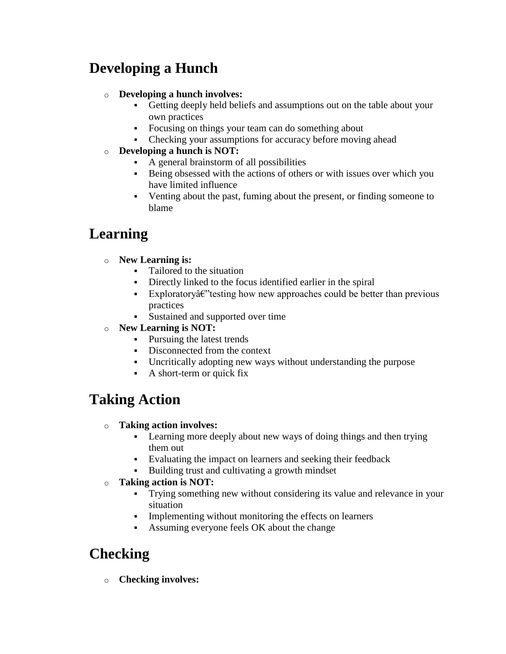# **Developing a Hunch**

#### o **Developing a hunch involves:**

- Getting deeply held beliefs and assumptions out on the table about your own practices
- Focusing on things your team can do something about
- Checking your assumptions for accuracy before moving ahead
- o **Developing a hunch is NOT:**
	- A general brainstorm of all possibilities
	- Being obsessed with the actions of others or with issues over which you have limited influence
	- Venting about the past, fuming about the present, or finding someone to blame

# **Learning**

- o **New Learning is:**
	- Tailored to the situation
	- Directly linked to the focus identified earlier in the spiral
	- Exploratory $\hat{\alpha}$  Exploratory $\hat{\alpha}$  Extersting how new approaches could be better than previous practices
	- Sustained and supported over time
- o **New Learning is NOT:**
	- Pursuing the latest trends
	- Disconnected from the context
	- Uncritically adopting new ways without understanding the purpose
	- A short-term or quick fix

# **Taking Action**

- o **Taking action involves:**
	- Learning more deeply about new ways of doing things and then trying them out
	- Evaluating the impact on learners and seeking their feedback
	- Building trust and cultivating a growth mindset
- o **Taking action is NOT:**
	- Trying something new without considering its value and relevance in your situation
	- Implementing without monitoring the effects on learners
	- Assuming everyone feels OK about the change

### **Checking**

o **Checking involves:**